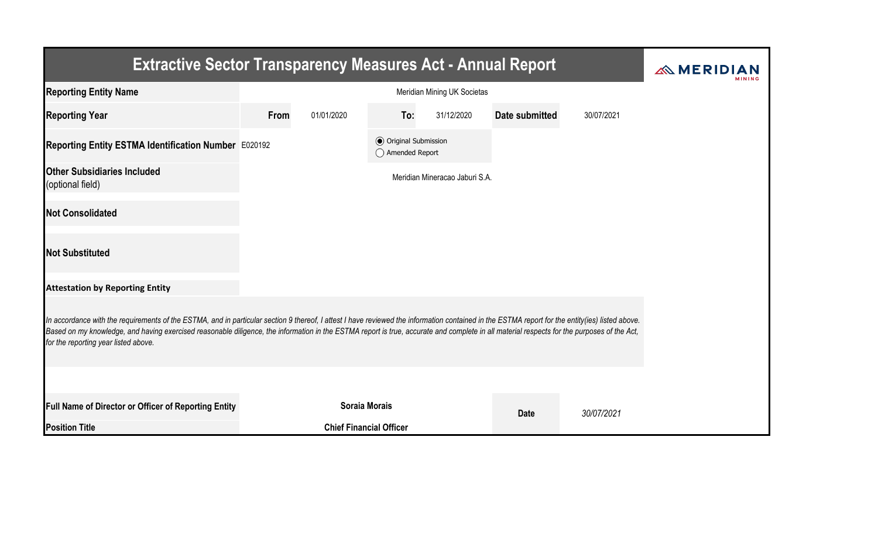| <b>Extractive Sector Transparency Measures Act - Annual Report</b>                                                                                                                                                                                                                                                                                                                                                                    | <b>ANERIDIAN</b>     |                                |                                                  |                                |                |            |  |  |  |  |
|---------------------------------------------------------------------------------------------------------------------------------------------------------------------------------------------------------------------------------------------------------------------------------------------------------------------------------------------------------------------------------------------------------------------------------------|----------------------|--------------------------------|--------------------------------------------------|--------------------------------|----------------|------------|--|--|--|--|
| <b>Reporting Entity Name</b>                                                                                                                                                                                                                                                                                                                                                                                                          |                      |                                |                                                  |                                |                |            |  |  |  |  |
| <b>Reporting Year</b>                                                                                                                                                                                                                                                                                                                                                                                                                 | From                 | 01/01/2020                     | To:                                              | 31/12/2020                     | Date submitted | 30/07/2021 |  |  |  |  |
| Reporting Entity ESTMA Identification Number E020192                                                                                                                                                                                                                                                                                                                                                                                  |                      |                                | <b>◎</b> Original Submission<br>◯ Amended Report |                                |                |            |  |  |  |  |
| <b>Other Subsidiaries Included</b><br>(optional field)                                                                                                                                                                                                                                                                                                                                                                                |                      |                                |                                                  | Meridian Mineracao Jaburi S.A. |                |            |  |  |  |  |
| <b>Not Consolidated</b>                                                                                                                                                                                                                                                                                                                                                                                                               |                      |                                |                                                  |                                |                |            |  |  |  |  |
| <b>Not Substituted</b>                                                                                                                                                                                                                                                                                                                                                                                                                |                      |                                |                                                  |                                |                |            |  |  |  |  |
| <b>Attestation by Reporting Entity</b>                                                                                                                                                                                                                                                                                                                                                                                                |                      |                                |                                                  |                                |                |            |  |  |  |  |
| In accordance with the requirements of the ESTMA, and in particular section 9 thereof, I attest I have reviewed the information contained in the ESTMA report for the entity(ies) listed above.<br>Based on my knowledge, and having exercised reasonable diligence, the information in the ESTMA report is true, accurate and complete in all material respects for the purposes of the Act,<br>for the reporting year listed above. |                      |                                |                                                  |                                |                |            |  |  |  |  |
|                                                                                                                                                                                                                                                                                                                                                                                                                                       |                      |                                |                                                  |                                |                |            |  |  |  |  |
| Full Name of Director or Officer of Reporting Entity                                                                                                                                                                                                                                                                                                                                                                                  | <b>Soraia Morais</b> |                                |                                                  |                                | <b>Date</b>    | 30/07/2021 |  |  |  |  |
| <b>Position Title</b>                                                                                                                                                                                                                                                                                                                                                                                                                 |                      | <b>Chief Financial Officer</b> |                                                  |                                |                |            |  |  |  |  |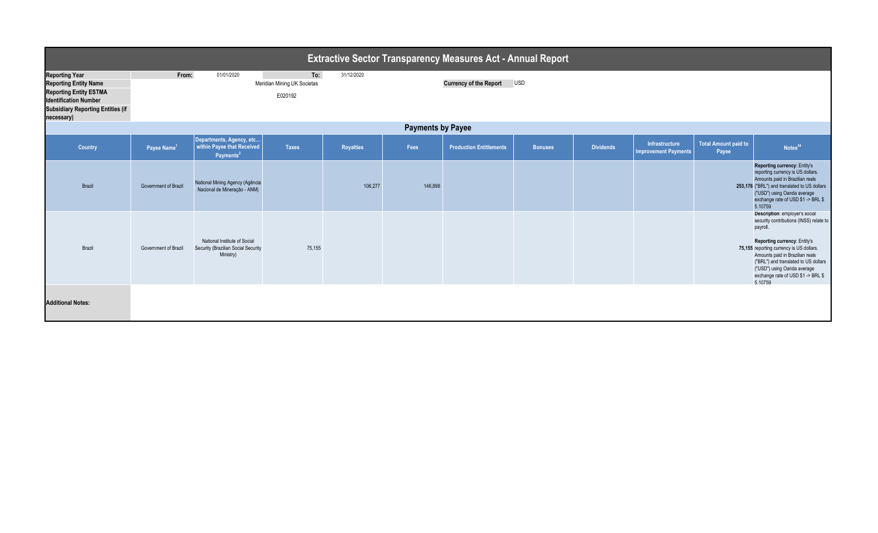| <b>Extractive Sector Transparency Measures Act - Annual Report</b>                                                                                                               |                         |                                                                                  |                                               |                  |         |                                |                |                  |                                                      |                                      |                                                                                                                                                                                                                                                                                                                              |  |
|----------------------------------------------------------------------------------------------------------------------------------------------------------------------------------|-------------------------|----------------------------------------------------------------------------------|-----------------------------------------------|------------------|---------|--------------------------------|----------------|------------------|------------------------------------------------------|--------------------------------------|------------------------------------------------------------------------------------------------------------------------------------------------------------------------------------------------------------------------------------------------------------------------------------------------------------------------------|--|
| <b>Reporting Year</b><br><b>Reporting Entity Name</b><br><b>Reporting Entity ESTMA</b><br><b>Identification Number</b><br><b>Subsidiary Reporting Entities (if</b><br>necessary) | From:                   | 01/01/2020                                                                       | To:<br>Meridian Mining UK Societas<br>E020192 | 31/12/2020       |         | <b>Currency of the Report</b>  | <b>USD</b>     |                  |                                                      |                                      |                                                                                                                                                                                                                                                                                                                              |  |
| <b>Payments by Payee</b>                                                                                                                                                         |                         |                                                                                  |                                               |                  |         |                                |                |                  |                                                      |                                      |                                                                                                                                                                                                                                                                                                                              |  |
| Country                                                                                                                                                                          | Payee Name <sup>1</sup> | Departments, Agency, etc<br>within Payee that Received<br>Payments <sup>2</sup>  | <b>Taxes</b>                                  | <b>Royalties</b> | Fees    | <b>Production Entitlements</b> | <b>Bonuses</b> | <b>Dividends</b> | <b>Infrastructure</b><br><b>Improvement Payments</b> | <b>Total Amount paid to</b><br>Payee | Notes <sup>34</sup>                                                                                                                                                                                                                                                                                                          |  |
| Brazil                                                                                                                                                                           | Government of Brazil    | National Mining Agency (Agência<br>Nacional de Mineração - ANM)                  |                                               | 106,277          | 146,898 |                                |                |                  |                                                      |                                      | Reporting currency: Entity's<br>reporting currency is US dollars.<br>Amounts paid in Brazilian reals<br>253,176 ("BRL") and translated to US dollars<br>("USD") using Oanda average<br>exchange rate of USD \$1 -> BRL \$<br>5.10759                                                                                         |  |
| Brazil                                                                                                                                                                           | Government of Brazil    | National Institute of Social<br>Security (Brazilian Social Security<br>Ministry) | 75,155                                        |                  |         |                                |                |                  |                                                      |                                      | Description: employer's social<br>security contributions (INSS) relate to<br>payroll.<br>Reporting currency: Entity's<br>75,155 reporting currency is US dollars.<br>Amounts paid in Brazilian reals<br>("BRL") and translated to US dollars<br>("USD") using Oanda average<br>exchange rate of USD \$1 -> BRL \$<br>5.10759 |  |
| <b>Additional Notes:</b>                                                                                                                                                         |                         |                                                                                  |                                               |                  |         |                                |                |                  |                                                      |                                      |                                                                                                                                                                                                                                                                                                                              |  |